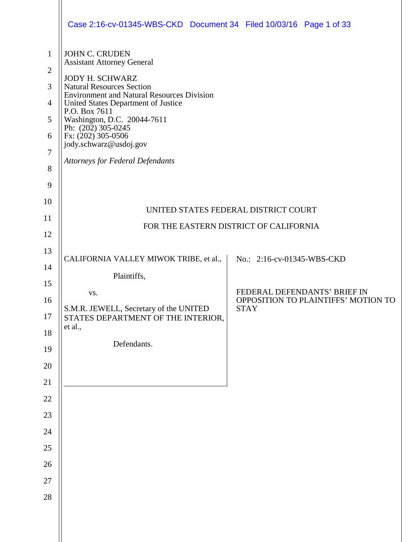|                                | Case 2:16-cv-01345-WBS-CKD Document 34 Filed 10/03/16 Page 1 of 33                    |                                                                     |  |  |  |
|--------------------------------|---------------------------------------------------------------------------------------|---------------------------------------------------------------------|--|--|--|
| $\mathbf{1}$<br>$\overline{2}$ | <b>JOHN C. CRUDEN</b><br><b>Assistant Attorney General</b><br><b>JODY H. SCHWARZ</b>  |                                                                     |  |  |  |
| 3                              | <b>Natural Resources Section</b><br><b>Environment and Natural Resources Division</b> |                                                                     |  |  |  |
| $\overline{4}$                 | United States Department of Justice<br>P.O. Box 7611                                  |                                                                     |  |  |  |
| 5<br>6                         | Washington, D.C. 20044-7611<br>Ph: (202) 305-0245                                     |                                                                     |  |  |  |
| $\tau$                         | Fx: (202) 305-0506<br>jody.schwarz@usdoj.gov                                          |                                                                     |  |  |  |
| 8                              | <b>Attorneys for Federal Defendants</b>                                               |                                                                     |  |  |  |
| 9                              |                                                                                       |                                                                     |  |  |  |
| 10                             |                                                                                       | UNITED STATES FEDERAL DISTRICT COURT                                |  |  |  |
| 11                             | FOR THE EASTERN DISTRICT OF CALIFORNIA                                                |                                                                     |  |  |  |
| 12                             |                                                                                       |                                                                     |  |  |  |
| 13<br>14                       | CALIFORNIA VALLEY MIWOK TRIBE, et al.,                                                | No.: 2:16-cv-01345-WBS-CKD                                          |  |  |  |
| 15                             | Plaintiffs,                                                                           |                                                                     |  |  |  |
| 16                             | VS.                                                                                   | FEDERAL DEFENDANTS' BRIEF IN<br>OPPOSITION TO PLAINTIFFS' MOTION TO |  |  |  |
| 17                             | S.M.R. JEWELL, Secretary of the UNITED<br>STATES DEPARTMENT OF THE INTERIOR,          | <b>STAY</b>                                                         |  |  |  |
| 18                             | et al.,                                                                               |                                                                     |  |  |  |
| 19                             | Defendants.                                                                           |                                                                     |  |  |  |
| 20                             |                                                                                       |                                                                     |  |  |  |
| 21<br>22                       |                                                                                       |                                                                     |  |  |  |
| 23                             |                                                                                       |                                                                     |  |  |  |
| 24                             |                                                                                       |                                                                     |  |  |  |
| 25                             |                                                                                       |                                                                     |  |  |  |
| 26                             |                                                                                       |                                                                     |  |  |  |
| 27                             |                                                                                       |                                                                     |  |  |  |
| $28\,$                         |                                                                                       |                                                                     |  |  |  |
|                                |                                                                                       |                                                                     |  |  |  |
|                                |                                                                                       |                                                                     |  |  |  |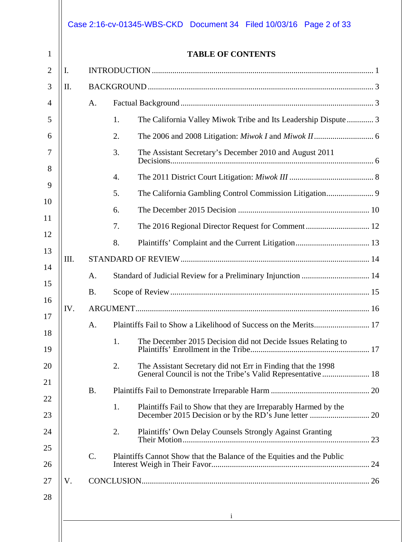|            |           | <b>TABLE OF CONTENTS</b>                                                                                                          |  |  |  |
|------------|-----------|-----------------------------------------------------------------------------------------------------------------------------------|--|--|--|
| I.         |           |                                                                                                                                   |  |  |  |
| II.        |           |                                                                                                                                   |  |  |  |
|            | A.        |                                                                                                                                   |  |  |  |
|            |           | 1.<br>The California Valley Miwok Tribe and Its Leadership Dispute 3                                                              |  |  |  |
|            |           | 2.                                                                                                                                |  |  |  |
|            |           | 3.<br>The Assistant Secretary's December 2010 and August 2011                                                                     |  |  |  |
|            |           | 4.                                                                                                                                |  |  |  |
|            |           | 5.                                                                                                                                |  |  |  |
|            |           | 6.                                                                                                                                |  |  |  |
|            |           | 7.                                                                                                                                |  |  |  |
|            |           | 8.                                                                                                                                |  |  |  |
| III.       |           |                                                                                                                                   |  |  |  |
|            | А.        | Standard of Judicial Review for a Preliminary Injunction  14                                                                      |  |  |  |
|            | <b>B.</b> |                                                                                                                                   |  |  |  |
| IV.        |           |                                                                                                                                   |  |  |  |
|            | Α.        | Plaintiffs Fail to Show a Likelihood of Success on the Merits 17                                                                  |  |  |  |
|            |           | The December 2015 Decision did not Decide Issues Relating to<br>1.                                                                |  |  |  |
|            |           | The Assistant Secretary did not Err in Finding that the 1998<br>2.<br>General Council is not the Tribe's Valid Representative  18 |  |  |  |
| <b>B</b> . |           |                                                                                                                                   |  |  |  |
|            |           | Plaintiffs Fail to Show that they are Irreparably Harmed by the<br>1.                                                             |  |  |  |
|            |           | Plaintiffs' Own Delay Counsels Strongly Against Granting<br>2.                                                                    |  |  |  |
|            | $C$ .     | Plaintiffs Cannot Show that the Balance of the Equities and the Public                                                            |  |  |  |
| V.         |           |                                                                                                                                   |  |  |  |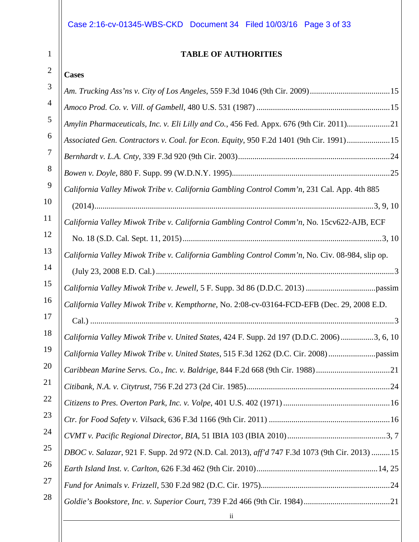## Case 2:16-cv-01345-WBS-CKD Document 34 Filed 10/03/16 Page 3 of 33

#### **TABLE OF AUTHORITIES**

#### 2 **Cases**

| 3  |                                                                                                |
|----|------------------------------------------------------------------------------------------------|
| 4  |                                                                                                |
| 5  | Amylin Pharmaceuticals, Inc. v. Eli Lilly and Co., 456 Fed. Appx. 676 (9th Cir. 2011)21        |
| 6  | Associated Gen. Contractors v. Coal. for Econ. Equity, 950 F.2d 1401 (9th Cir. 1991)15         |
| 7  |                                                                                                |
| 8  |                                                                                                |
| 9  | California Valley Miwok Tribe v. California Gambling Control Comm'n, 231 Cal. App. 4th 885     |
| 10 |                                                                                                |
| 11 | California Valley Miwok Tribe v. California Gambling Control Comm'n, No. 15cv622-AJB, ECF      |
| 12 |                                                                                                |
| 13 | California Valley Miwok Tribe v. California Gambling Control Comm'n, No. Civ. 08-984, slip op. |
| 14 |                                                                                                |
| 15 |                                                                                                |
| 16 | California Valley Miwok Tribe v. Kempthorne, No. 2:08-cv-03164-FCD-EFB (Dec. 29, 2008 E.D.     |
| 17 |                                                                                                |
| 18 | California Valley Miwok Tribe v. United States, 424 F. Supp. 2d 197 (D.D.C. 2006) 3, 6, 10     |
| 19 | California Valley Miwok Tribe v. United States, 515 F.3d 1262 (D.C. Cir. 2008) passim          |
| 20 | Caribbean Marine Servs. Co., Inc. v. Baldrige, 844 F.2d 668 (9th Cir. 1988)21                  |
| 21 | 24                                                                                             |
| 22 |                                                                                                |
| 23 |                                                                                                |
| 24 |                                                                                                |
| 25 | DBOC v. Salazar, 921 F. Supp. 2d 972 (N.D. Cal. 2013), aff'd 747 F.3d 1073 (9th Cir. 2013)  15 |
| 26 |                                                                                                |
| 27 |                                                                                                |
| 28 |                                                                                                |
|    | $\mathbf{ii}$                                                                                  |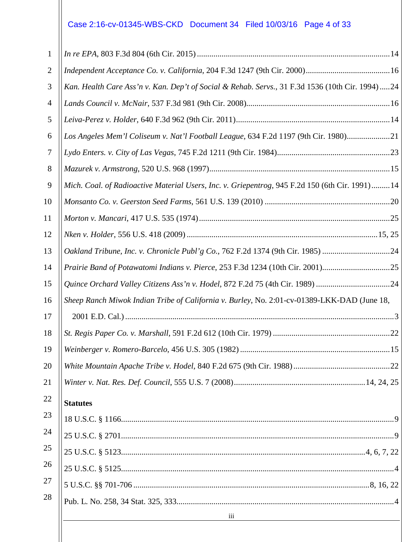# Case 2:16-cv-01345-WBS-CKD Document 34 Filed 10/03/16 Page 4 of 33

| Kan. Health Care Ass'n v. Kan. Dep't of Social & Rehab. Servs., 31 F.3d 1536 (10th Cir. 1994) 24 |  |
|--------------------------------------------------------------------------------------------------|--|
|                                                                                                  |  |
|                                                                                                  |  |
| Los Angeles Mem'l Coliseum v. Nat'l Football League, 634 F.2d 1197 (9th Cir. 1980)21             |  |
|                                                                                                  |  |
|                                                                                                  |  |
| Mich. Coal. of Radioactive Material Users, Inc. v. Griepentrog, 945 F.2d 150 (6th Cir. 1991) 14  |  |
|                                                                                                  |  |
|                                                                                                  |  |
|                                                                                                  |  |
| Oakland Tribune, Inc. v. Chronicle Publ'g Co., 762 F.2d 1374 (9th Cir. 1985) 24                  |  |
| Prairie Band of Potawatomi Indians v. Pierce, 253 F.3d 1234 (10th Cir. 2001)25                   |  |
| Quince Orchard Valley Citizens Ass'n v. Hodel, 872 F.2d 75 (4th Cir. 1989) 24                    |  |
| Sheep Ranch Miwok Indian Tribe of California v. Burley, No. 2:01-cv-01389-LKK-DAD (June 18,      |  |
|                                                                                                  |  |
|                                                                                                  |  |
|                                                                                                  |  |
|                                                                                                  |  |
|                                                                                                  |  |
| <b>Statutes</b>                                                                                  |  |
|                                                                                                  |  |
|                                                                                                  |  |
|                                                                                                  |  |
|                                                                                                  |  |
|                                                                                                  |  |
|                                                                                                  |  |
|                                                                                                  |  |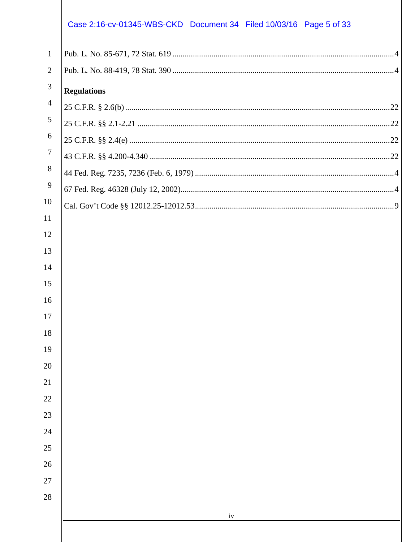|                | Case 2:16-cv-01345-WBS-CKD Document 34 Filed 10/03/16 Page 5 of 33 |
|----------------|--------------------------------------------------------------------|
| $\mathbf{1}$   |                                                                    |
| $\overline{2}$ |                                                                    |
| $\mathfrak{Z}$ | <b>Regulations</b>                                                 |
| $\overline{4}$ |                                                                    |
| 5              |                                                                    |
| 6              |                                                                    |
| $\tau$         |                                                                    |
| 8              |                                                                    |
| 9              |                                                                    |
| 10             |                                                                    |
| 11             |                                                                    |
| 12             |                                                                    |
| 13             |                                                                    |
| 14             |                                                                    |
| 15             |                                                                    |
| 16             |                                                                    |
| 17             |                                                                    |
| 18             |                                                                    |
| 19<br>20       |                                                                    |
| 21             |                                                                    |
| $22\,$         |                                                                    |
| 23             |                                                                    |
| 24             |                                                                    |
| $25\,$         |                                                                    |
| 26             |                                                                    |
| $27\,$         |                                                                    |
| 28             |                                                                    |
|                | iv                                                                 |
|                |                                                                    |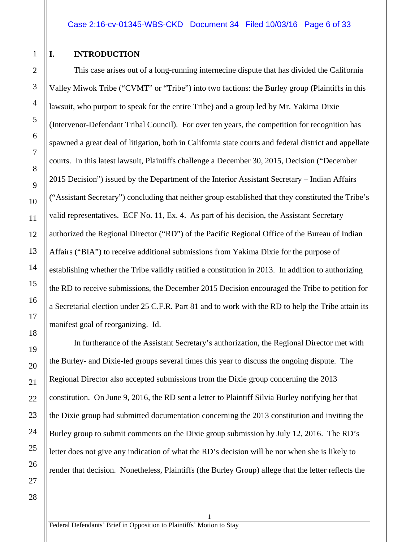#### <span id="page-5-0"></span>**I. INTRODUCTION**

This case arises out of a long-running internecine dispute that has divided the California Valley Miwok Tribe ("CVMT" or "Tribe") into two factions: the Burley group (Plaintiffs in this lawsuit, who purport to speak for the entire Tribe) and a group led by Mr. Yakima Dixie (Intervenor-Defendant Tribal Council). For over ten years, the competition for recognition has spawned a great deal of litigation, both in California state courts and federal district and appellate courts. In this latest lawsuit, Plaintiffs challenge a December 30, 2015, Decision ("December 2015 Decision") issued by the Department of the Interior Assistant Secretary – Indian Affairs ("Assistant Secretary") concluding that neither group established that they constituted the Tribe's valid representatives. ECF No. 11, Ex. 4. As part of his decision, the Assistant Secretary authorized the Regional Director ("RD") of the Pacific Regional Office of the Bureau of Indian Affairs ("BIA") to receive additional submissions from Yakima Dixie for the purpose of establishing whether the Tribe validly ratified a constitution in 2013. In addition to authorizing the RD to receive submissions, the December 2015 Decision encouraged the Tribe to petition for a Secretarial election under 25 C.F.R. Part 81 and to work with the RD to help the Tribe attain its manifest goal of reorganizing. Id.

In furtherance of the Assistant Secretary's authorization, the Regional Director met with the Burley- and Dixie-led groups several times this year to discuss the ongoing dispute. The Regional Director also accepted submissions from the Dixie group concerning the 2013 constitution. On June 9, 2016, the RD sent a letter to Plaintiff Silvia Burley notifying her that the Dixie group had submitted documentation concerning the 2013 constitution and inviting the Burley group to submit comments on the Dixie group submission by July 12, 2016. The RD's letter does not give any indication of what the RD's decision will be nor when she is likely to render that decision. Nonetheless, Plaintiffs (the Burley Group) allege that the letter reflects the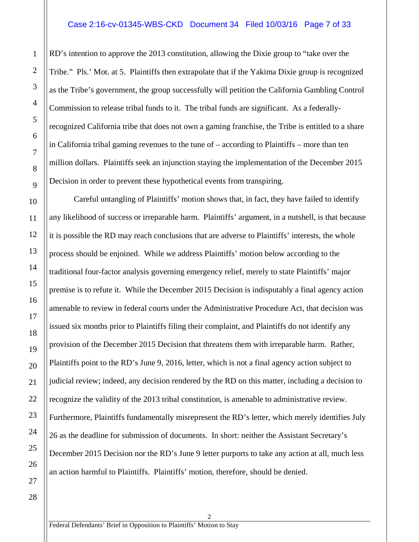#### Case 2:16-cv-01345-WBS-CKD Document 34 Filed 10/03/16 Page 7 of 33

RD's intention to approve the 2013 constitution, allowing the Dixie group to "take over the Tribe." Pls.' Mot. at 5. Plaintiffs then extrapolate that if the Yakima Dixie group is recognized as the Tribe's government, the group successfully will petition the California Gambling Control Commission to release tribal funds to it. The tribal funds are significant. As a federallyrecognized California tribe that does not own a gaming franchise, the Tribe is entitled to a share in California tribal gaming revenues to the tune of – according to Plaintiffs – more than ten million dollars. Plaintiffs seek an injunction staying the implementation of the December 2015 Decision in order to prevent these hypothetical events from transpiring.

Careful untangling of Plaintiffs' motion shows that, in fact, they have failed to identify any likelihood of success or irreparable harm. Plaintiffs' argument, in a nutshell, is that because it is possible the RD may reach conclusions that are adverse to Plaintiffs' interests, the whole process should be enjoined. While we address Plaintiffs' motion below according to the traditional four-factor analysis governing emergency relief, merely to state Plaintiffs' major premise is to refute it. While the December 2015 Decision is indisputably a final agency action amenable to review in federal courts under the Administrative Procedure Act, that decision was issued six months prior to Plaintiffs filing their complaint, and Plaintiffs do not identify any provision of the December 2015 Decision that threatens them with irreparable harm. Rather, Plaintiffs point to the RD's June 9, 2016, letter, which is not a final agency action subject to judicial review; indeed, any decision rendered by the RD on this matter, including a decision to recognize the validity of the 2013 tribal constitution, is amenable to administrative review. Furthermore, Plaintiffs fundamentally misrepresent the RD's letter, which merely identifies July 26 as the deadline for submission of documents. In short: neither the Assistant Secretary's December 2015 Decision nor the RD's June 9 letter purports to take any action at all, much less an action harmful to Plaintiffs. Plaintiffs' motion, therefore, should be denied.

2

1

2

3

4

5

6

7

8

9

10

11

12

13

14

15

16

17

18

19

20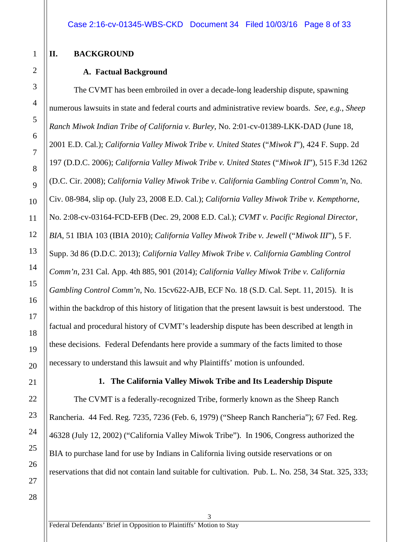#### <span id="page-7-1"></span><span id="page-7-0"></span>**II. BACKGROUND**

#### **A. Factual Background**

The CVMT has been embroiled in over a decade-long leadership dispute, spawning numerous lawsuits in state and federal courts and administrative review boards. *See*, *e.g.*, *Sheep Ranch Miwok Indian Tribe of California v. Burley*, No. 2:01-cv-01389-LKK-DAD (June 18, 2001 E.D. Cal.); *California Valley Miwok Tribe v. United States* ("*Miwok I*"), 424 F. Supp. 2d 197 (D.D.C. 2006); *California Valley Miwok Tribe v. United States* ("*Miwok II*"), 515 F.3d 1262 (D.C. Cir. 2008); *California Valley Miwok Tribe v. California Gambling Control Comm'n*, No. Civ. 08-984, slip op. (July 23, 2008 E.D. Cal.); *California Valley Miwok Tribe v. Kempthorne*, No. 2:08-cv-03164-FCD-EFB (Dec. 29, 2008 E.D. Cal.); *CVMT v. Pacific Regional Director, BIA*, 51 IBIA 103 (IBIA 2010); *California Valley Miwok Tribe v. Jewell* ("*Miwok III*"), 5 F. Supp. 3d 86 (D.D.C. 2013); *California Valley Miwok Tribe v. California Gambling Control Comm'n*, 231 Cal. App. 4th 885, 901 (2014); *California Valley Miwok Tribe v. California Gambling Control Comm'n*, No. 15cv622-AJB, ECF No. 18 (S.D. Cal. Sept. 11, 2015). It is within the backdrop of this history of litigation that the present lawsuit is best understood. The factual and procedural history of CVMT's leadership dispute has been described at length in these decisions. Federal Defendants here provide a summary of the facts limited to those necessary to understand this lawsuit and why Plaintiffs' motion is unfounded.

<span id="page-7-2"></span>

### **1. The California Valley Miwok Tribe and Its Leadership Dispute**

The CVMT is a federally-recognized Tribe, formerly known as the Sheep Ranch Rancheria. 44 Fed. Reg. 7235, 7236 (Feb. 6, 1979) ("Sheep Ranch Rancheria"); 67 Fed. Reg. 46328 (July 12, 2002) ("California Valley Miwok Tribe"). In 1906, Congress authorized the BIA to purchase land for use by Indians in California living outside reservations or on reservations that did not contain land suitable for cultivation. Pub. L. No. 258, 34 Stat. 325, 333;

1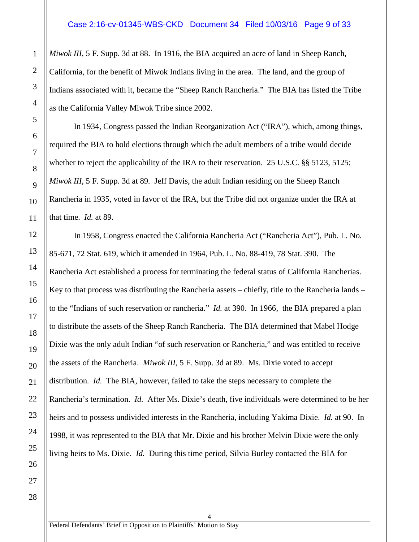*Miwok III*, 5 F. Supp. 3d at 88. In 1916, the BIA acquired an acre of land in Sheep Ranch, California, for the benefit of Miwok Indians living in the area. The land, and the group of Indians associated with it, became the "Sheep Ranch Rancheria." The BIA has listed the Tribe as the California Valley Miwok Tribe since 2002.

In 1934, Congress passed the Indian Reorganization Act ("IRA"), which, among things, required the BIA to hold elections through which the adult members of a tribe would decide whether to reject the applicability of the IRA to their reservation. 25 U.S.C. §§ 5123, 5125; *Miwok III*, 5 F. Supp. 3d at 89*.* Jeff Davis, the adult Indian residing on the Sheep Ranch Rancheria in 1935, voted in favor of the IRA, but the Tribe did not organize under the IRA at that time. *Id.* at 89.

In 1958, Congress enacted the California Rancheria Act ("Rancheria Act"), Pub. L. No. 85-671, 72 Stat. 619, which it amended in 1964, Pub. L. No. 88-419, 78 Stat. 390. The Rancheria Act established a process for terminating the federal status of California Rancherias. Key to that process was distributing the Rancheria assets – chiefly, title to the Rancheria lands – to the "Indians of such reservation or rancheria." *Id.* at 390. In 1966, the BIA prepared a plan to distribute the assets of the Sheep Ranch Rancheria. The BIA determined that Mabel Hodge Dixie was the only adult Indian "of such reservation or Rancheria," and was entitled to receive the assets of the Rancheria. *Miwok III*, 5 F. Supp. 3d at 89. Ms. Dixie voted to accept distribution. *Id.* The BIA, however, failed to take the steps necessary to complete the Rancheria's termination. *Id.* After Ms. Dixie's death, five individuals were determined to be her heirs and to possess undivided interests in the Rancheria, including Yakima Dixie. *Id.* at 90. In 1998, it was represented to the BIA that Mr. Dixie and his brother Melvin Dixie were the only living heirs to Ms. Dixie. *Id.* During this time period, Silvia Burley contacted the BIA for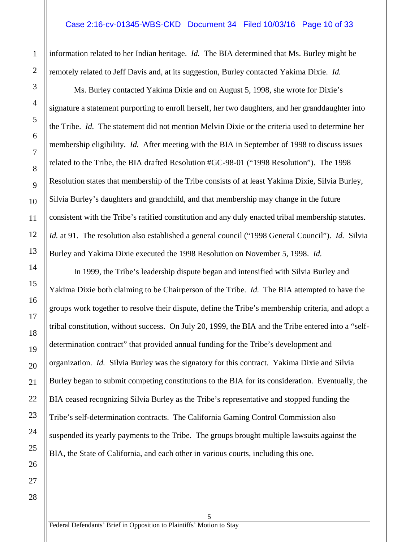#### Case 2:16-cv-01345-WBS-CKD Document 34 Filed 10/03/16 Page 10 of 33

information related to her Indian heritage. *Id.* The BIA determined that Ms. Burley might be remotely related to Jeff Davis and, at its suggestion, Burley contacted Yakima Dixie. *Id.*

Ms. Burley contacted Yakima Dixie and on August 5, 1998, she wrote for Dixie's signature a statement purporting to enroll herself, her two daughters, and her granddaughter into the Tribe. *Id.* The statement did not mention Melvin Dixie or the criteria used to determine her membership eligibility. *Id.* After meeting with the BIA in September of 1998 to discuss issues related to the Tribe, the BIA drafted Resolution #GC-98-01 ("1998 Resolution"). The 1998 Resolution states that membership of the Tribe consists of at least Yakima Dixie, Silvia Burley, Silvia Burley's daughters and grandchild, and that membership may change in the future consistent with the Tribe's ratified constitution and any duly enacted tribal membership statutes. *Id.* at 91. The resolution also established a general council ("1998 General Council"). *Id.* Silvia Burley and Yakima Dixie executed the 1998 Resolution on November 5, 1998. *Id.*

In 1999, the Tribe's leadership dispute began and intensified with Silvia Burley and Yakima Dixie both claiming to be Chairperson of the Tribe. *Id.* The BIA attempted to have the groups work together to resolve their dispute, define the Tribe's membership criteria, and adopt a tribal constitution, without success. On July 20, 1999, the BIA and the Tribe entered into a "selfdetermination contract" that provided annual funding for the Tribe's development and organization. *Id.* Silvia Burley was the signatory for this contract. Yakima Dixie and Silvia Burley began to submit competing constitutions to the BIA for its consideration. Eventually, the BIA ceased recognizing Silvia Burley as the Tribe's representative and stopped funding the Tribe's self-determination contracts. The California Gaming Control Commission also suspended its yearly payments to the Tribe. The groups brought multiple lawsuits against the BIA, the State of California, and each other in various courts, including this one.

5

1

Federal Defendants' Brief in Opposition to Plaintiffs' Motion to Stay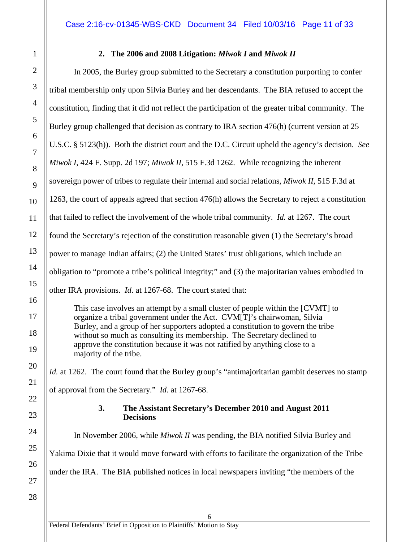#### **2. The 2006 and 2008 Litigation:** *Miwok I* **and** *Miwok II*

In 2005, the Burley group submitted to the Secretary a constitution purporting to confer tribal membership only upon Silvia Burley and her descendants. The BIA refused to accept the constitution, finding that it did not reflect the participation of the greater tribal community. The Burley group challenged that decision as contrary to IRA section 476(h) (current version at 25 U.S.C. § 5123(h)). Both the district court and the D.C. Circuit upheld the agency's decision. *See Miwok I*, 424 F. Supp. 2d 197; *Miwok II*, 515 F.3d 1262. While recognizing the inherent sovereign power of tribes to regulate their internal and social relations, *Miwok II*, 515 F.3d at 1263, the court of appeals agreed that section 476(h) allows the Secretary to reject a constitution that failed to reflect the involvement of the whole tribal community. *Id.* at 1267. The court found the Secretary's rejection of the constitution reasonable given (1) the Secretary's broad power to manage Indian affairs; (2) the United States' trust obligations, which include an obligation to "promote a tribe's political integrity;" and (3) the majoritarian values embodied in other IRA provisions. *Id.* at 1267-68. The court stated that:

This case involves an attempt by a small cluster of people within the [CVMT] to organize a tribal government under the Act. CVM[T]'s chairwoman, Silvia Burley, and a group of her supporters adopted a constitution to govern the tribe without so much as consulting its membership. The Secretary declined to approve the constitution because it was not ratified by anything close to a majority of the tribe.

*Id.* at 1262. The court found that the Burley group's "antimajoritarian gambit deserves no stamp of approval from the Secretary." *Id.* at 1267-68.

#### **3. The Assistant Secretary's December 2010 and August 2011 Decisions**

<span id="page-10-1"></span>In November 2006, while *Miwok II* was pending, the BIA notified Silvia Burley and Yakima Dixie that it would move forward with efforts to facilitate the organization of the Tribe under the IRA. The BIA published notices in local newspapers inviting "the members of the

<span id="page-10-0"></span>1

2

3

4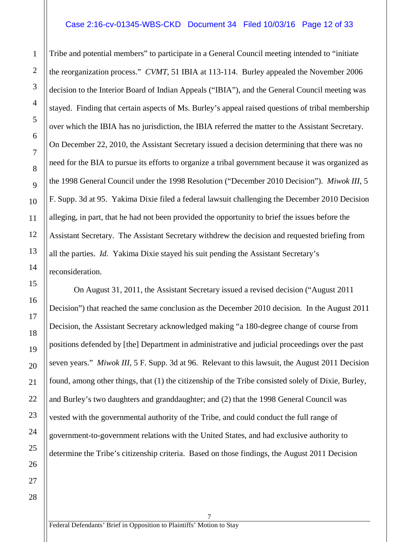#### Case 2:16-cv-01345-WBS-CKD Document 34 Filed 10/03/16 Page 12 of 33

Tribe and potential members" to participate in a General Council meeting intended to "initiate the reorganization process." *CVMT*, 51 IBIA at 113-114. Burley appealed the November 2006 decision to the Interior Board of Indian Appeals ("IBIA"), and the General Council meeting was stayed. Finding that certain aspects of Ms. Burley's appeal raised questions of tribal membership over which the IBIA has no jurisdiction, the IBIA referred the matter to the Assistant Secretary. On December 22, 2010, the Assistant Secretary issued a decision determining that there was no need for the BIA to pursue its efforts to organize a tribal government because it was organized as the 1998 General Council under the 1998 Resolution ("December 2010 Decision"). *Miwok III*, 5 F. Supp. 3d at 95. Yakima Dixie filed a federal lawsuit challenging the December 2010 Decision alleging, in part, that he had not been provided the opportunity to brief the issues before the Assistant Secretary. The Assistant Secretary withdrew the decision and requested briefing from all the parties. *Id.* Yakima Dixie stayed his suit pending the Assistant Secretary's reconsideration.

On August 31, 2011, the Assistant Secretary issued a revised decision ("August 2011 Decision") that reached the same conclusion as the December 2010 decision. In the August 2011 Decision, the Assistant Secretary acknowledged making "a 180-degree change of course from positions defended by [the] Department in administrative and judicial proceedings over the past seven years." *Miwok III*, 5 F. Supp. 3d at 96. Relevant to this lawsuit, the August 2011 Decision found, among other things, that (1) the citizenship of the Tribe consisted solely of Dixie, Burley, and Burley's two daughters and granddaughter; and (2) that the 1998 General Council was vested with the governmental authority of the Tribe, and could conduct the full range of government-to-government relations with the United States, and had exclusive authority to determine the Tribe's citizenship criteria. Based on those findings, the August 2011 Decision

7

27 28

1

2

3

4

5

6

7

8

9

10

11

12

13

14

15

16

17

18

19

20

21

22

23

24

25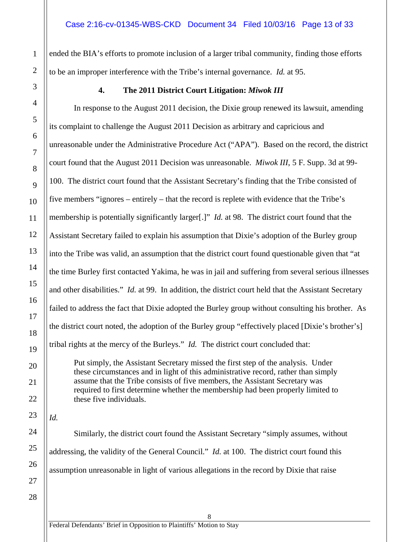ended the BIA's efforts to promote inclusion of a larger tribal community, finding those efforts to be an improper interference with the Tribe's internal governance. *Id.* at 95.

#### **4. The 2011 District Court Litigation:** *Miwok III*

In response to the August 2011 decision, the Dixie group renewed its lawsuit, amending its complaint to challenge the August 2011 Decision as arbitrary and capricious and unreasonable under the Administrative Procedure Act ("APA"). Based on the record, the district court found that the August 2011 Decision was unreasonable. *Miwok III*, 5 F. Supp. 3d at 99- 100. The district court found that the Assistant Secretary's finding that the Tribe consisted of five members "ignores – entirely – that the record is replete with evidence that the Tribe's membership is potentially significantly larger[.]" *Id.* at 98. The district court found that the Assistant Secretary failed to explain his assumption that Dixie's adoption of the Burley group into the Tribe was valid, an assumption that the district court found questionable given that "at the time Burley first contacted Yakima, he was in jail and suffering from several serious illnesses and other disabilities." *Id.* at 99. In addition, the district court held that the Assistant Secretary failed to address the fact that Dixie adopted the Burley group without consulting his brother. As the district court noted, the adoption of the Burley group "effectively placed [Dixie's brother's] tribal rights at the mercy of the Burleys." *Id.* The district court concluded that:

Put simply, the Assistant Secretary missed the first step of the analysis. Under these circumstances and in light of this administrative record, rather than simply assume that the Tribe consists of five members, the Assistant Secretary was required to first determine whether the membership had been properly limited to these five individuals.

*Id.*

1

2

<span id="page-12-0"></span>3

4

5

6

7

8

9

10

11

12

13

14

15

16

17

18

19

20

21

22

23

Similarly, the district court found the Assistant Secretary "simply assumes, without addressing, the validity of the General Council." *Id.* at 100. The district court found this assumption unreasonable in light of various allegations in the record by Dixie that raise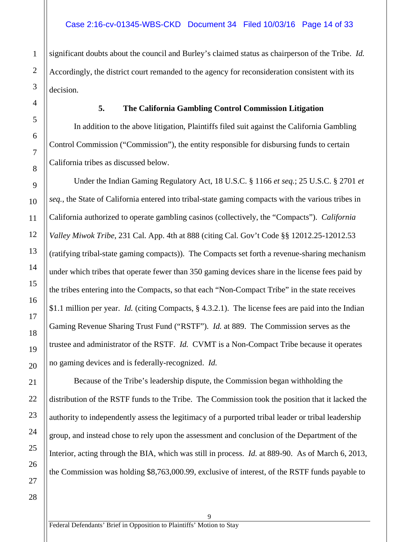significant doubts about the council and Burley's claimed status as chairperson of the Tribe. *Id.* Accordingly, the district court remanded to the agency for reconsideration consistent with its decision.

#### **5. The California Gambling Control Commission Litigation**

<span id="page-13-0"></span>In addition to the above litigation, Plaintiffs filed suit against the California Gambling Control Commission ("Commission"), the entity responsible for disbursing funds to certain California tribes as discussed below.

Under the Indian Gaming Regulatory Act, 18 U.S.C. § 1166 *et seq.*; 25 U.S.C. § 2701 *et seq.*, the State of California entered into tribal-state gaming compacts with the various tribes in California authorized to operate gambling casinos (collectively, the "Compacts"). *California Valley Miwok Tribe*, 231 Cal. App. 4th at 888 (citing Cal. Gov't Code §§ 12012.25-12012.53 (ratifying tribal-state gaming compacts)). The Compacts set forth a revenue-sharing mechanism under which tribes that operate fewer than 350 gaming devices share in the license fees paid by the tribes entering into the Compacts, so that each "Non-Compact Tribe" in the state receives \$1.1 million per year. *Id.* (citing Compacts, § 4.3.2.1). The license fees are paid into the Indian Gaming Revenue Sharing Trust Fund ("RSTF"). *Id.* at 889. The Commission serves as the trustee and administrator of the RSTF. *Id.* CVMT is a Non-Compact Tribe because it operates no gaming devices and is federally-recognized. *Id.*

Because of the Tribe's leadership dispute, the Commission began withholding the distribution of the RSTF funds to the Tribe. The Commission took the position that it lacked the authority to independently assess the legitimacy of a purported tribal leader or tribal leadership group, and instead chose to rely upon the assessment and conclusion of the Department of the Interior, acting through the BIA, which was still in process. *Id.* at 889-90. As of March 6, 2013, the Commission was holding \$8,763,000.99, exclusive of interest, of the RSTF funds payable to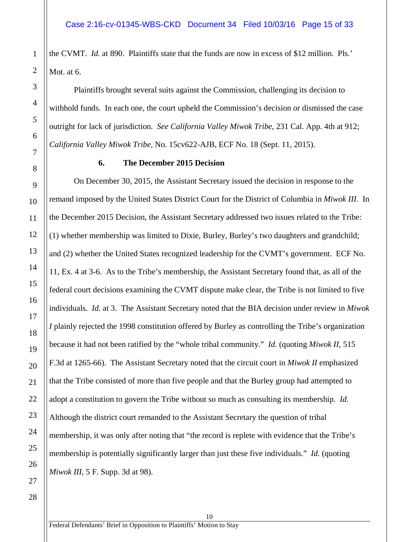the CVMT. *Id.* at 890. Plaintiffs state that the funds are now in excess of \$12 million. Pls.' Mot. at 6.

Plaintiffs brought several suits against the Commission, challenging its decision to withhold funds. In each one, the court upheld the Commission's decision or dismissed the case outright for lack of jurisdiction. *See California Valley Miwok Tribe*, 231 Cal. App. 4th at 912; *California Valley Miwok Tribe*, No. 15cv622-AJB, ECF No. 18 (Sept. 11, 2015).

#### **6. The December 2015 Decision**

<span id="page-14-0"></span>On December 30, 2015, the Assistant Secretary issued the decision in response to the remand imposed by the United States District Court for the District of Columbia in *Miwok III*. In the December 2015 Decision, the Assistant Secretary addressed two issues related to the Tribe: (1) whether membership was limited to Dixie, Burley, Burley's two daughters and grandchild; and (2) whether the United States recognized leadership for the CVMT's government. ECF No. 11, Ex. 4 at 3-6. As to the Tribe's membership, the Assistant Secretary found that, as all of the federal court decisions examining the CVMT dispute make clear, the Tribe is not limited to five individuals. *Id.* at 3. The Assistant Secretary noted that the BIA decision under review in *Miwok I* plainly rejected the 1998 constitution offered by Burley as controlling the Tribe's organization because it had not been ratified by the "whole tribal community." *Id.* (quoting *Miwok II*, 515 F.3d at 1265-66). The Assistant Secretary noted that the circuit court in *Miwok II* emphasized that the Tribe consisted of more than five people and that the Burley group had attempted to adopt a constitution to govern the Tribe without so much as consulting its membership. *Id.* Although the district court remanded to the Assistant Secretary the question of tribal membership, it was only after noting that "the record is replete with evidence that the Tribe's membership is potentially significantly larger than just these five individuals." *Id.* (quoting *Miwok III*, 5 F. Supp. 3d at 98).

10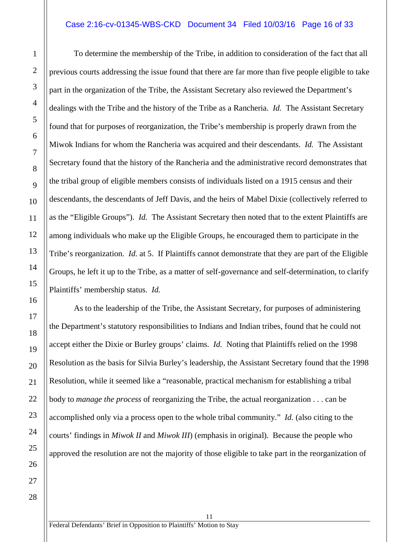#### Case 2:16-cv-01345-WBS-CKD Document 34 Filed 10/03/16 Page 16 of 33

To determine the membership of the Tribe, in addition to consideration of the fact that all previous courts addressing the issue found that there are far more than five people eligible to take part in the organization of the Tribe, the Assistant Secretary also reviewed the Department's dealings with the Tribe and the history of the Tribe as a Rancheria. *Id.* The Assistant Secretary found that for purposes of reorganization, the Tribe's membership is properly drawn from the Miwok Indians for whom the Rancheria was acquired and their descendants. *Id.* The Assistant Secretary found that the history of the Rancheria and the administrative record demonstrates that the tribal group of eligible members consists of individuals listed on a 1915 census and their descendants, the descendants of Jeff Davis, and the heirs of Mabel Dixie (collectively referred to as the "Eligible Groups"). *Id.* The Assistant Secretary then noted that to the extent Plaintiffs are among individuals who make up the Eligible Groups, he encouraged them to participate in the Tribe's reorganization. *Id.* at 5. If Plaintiffs cannot demonstrate that they are part of the Eligible Groups, he left it up to the Tribe, as a matter of self-governance and self-determination, to clarify Plaintiffs' membership status. *Id.*

As to the leadership of the Tribe, the Assistant Secretary, for purposes of administering the Department's statutory responsibilities to Indians and Indian tribes, found that he could not accept either the Dixie or Burley groups' claims. *Id.* Noting that Plaintiffs relied on the 1998 Resolution as the basis for Silvia Burley's leadership, the Assistant Secretary found that the 1998 Resolution, while it seemed like a "reasonable, practical mechanism for establishing a tribal body to *manage the process* of reorganizing the Tribe, the actual reorganization . . . can be accomplished only via a process open to the whole tribal community." *Id.* (also citing to the courts' findings in *Miwok II* and *Miwok III*) (emphasis in original). Because the people who approved the resolution are not the majority of those eligible to take part in the reorganization of

11

1

2

3

4

5

6

7

8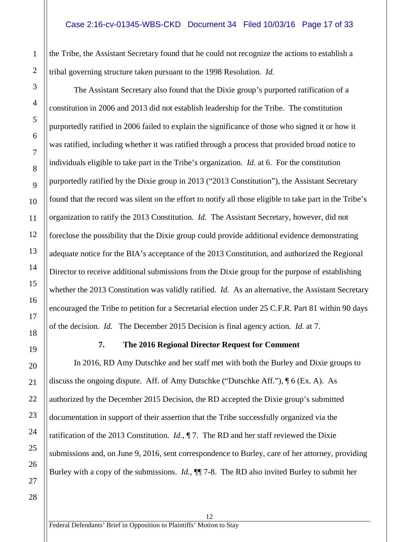the Tribe, the Assistant Secretary found that he could not recognize the actions to establish a tribal governing structure taken pursuant to the 1998 Resolution. *Id.*

The Assistant Secretary also found that the Dixie group's purported ratification of a constitution in 2006 and 2013 did not establish leadership for the Tribe. The constitution purportedly ratified in 2006 failed to explain the significance of those who signed it or how it was ratified, including whether it was ratified through a process that provided broad notice to individuals eligible to take part in the Tribe's organization. *Id.* at 6. For the constitution purportedly ratified by the Dixie group in 2013 ("2013 Constitution"), the Assistant Secretary found that the record was silent on the effort to notify all those eligible to take part in the Tribe's organization to ratify the 2013 Constitution. *Id.* The Assistant Secretary, however, did not foreclose the possibility that the Dixie group could provide additional evidence demonstrating adequate notice for the BIA's acceptance of the 2013 Constitution, and authorized the Regional Director to receive additional submissions from the Dixie group for the purpose of establishing whether the 2013 Constitution was validly ratified. *Id.* As an alternative, the Assistant Secretary encouraged the Tribe to petition for a Secretarial election under 25 C.F.R. Part 81 within 90 days of the decision. *Id.* The December 2015 Decision is final agency action. *Id.* at 7.

#### **7. The 2016 Regional Director Request for Comment**

<span id="page-16-0"></span>In 2016, RD Amy Dutschke and her staff met with both the Burley and Dixie groups to discuss the ongoing dispute. Aff. of Amy Dutschke ("Dutschke Aff."), ¶ 6 (Ex. A). As authorized by the December 2015 Decision, the RD accepted the Dixie group's submitted documentation in support of their assertion that the Tribe successfully organized via the ratification of the 2013 Constitution. *Id.*, ¶ 7. The RD and her staff reviewed the Dixie submissions and, on June 9, 2016, sent correspondence to Burley, care of her attorney, providing Burley with a copy of the submissions. *Id.*, ¶¶ 7-8. The RD also invited Burley to submit her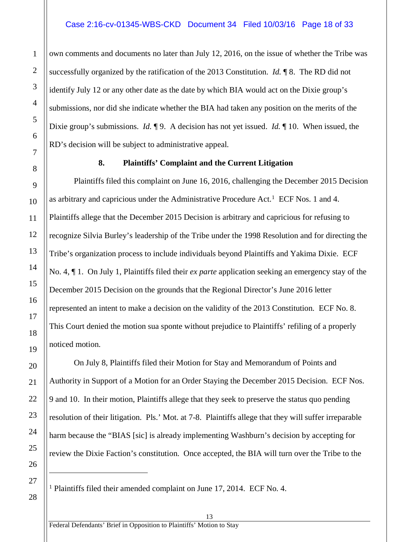own comments and documents no later than July 12, 2016, on the issue of whether the Tribe was successfully organized by the ratification of the 2013 Constitution. *Id.* ¶ 8. The RD did not identify July 12 or any other date as the date by which BIA would act on the Dixie group's submissions, nor did she indicate whether the BIA had taken any position on the merits of the Dixie group's submissions. *Id.* ¶ 9. A decision has not yet issued. *Id.* ¶ 10. When issued, the RD's decision will be subject to administrative appeal.

#### **8. Plaintiffs' Complaint and the Current Litigation**

<span id="page-17-0"></span>Plaintiffs filed this complaint on June 16, 2016, challenging the December 2015 Decision as arbitrary and capricious under the Administrative Procedure Act.[1](#page-17-1) ECF Nos. 1 and 4. Plaintiffs allege that the December 2015 Decision is arbitrary and capricious for refusing to recognize Silvia Burley's leadership of the Tribe under the 1998 Resolution and for directing the Tribe's organization process to include individuals beyond Plaintiffs and Yakima Dixie. ECF No. 4, ¶ 1. On July 1, Plaintiffs filed their *ex parte* application seeking an emergency stay of the December 2015 Decision on the grounds that the Regional Director's June 2016 letter represented an intent to make a decision on the validity of the 2013 Constitution. ECF No. 8. This Court denied the motion sua sponte without prejudice to Plaintiffs' refiling of a properly noticed motion.

On July 8, Plaintiffs filed their Motion for Stay and Memorandum of Points and Authority in Support of a Motion for an Order Staying the December 2015 Decision. ECF Nos. 9 and 10. In their motion, Plaintiffs allege that they seek to preserve the status quo pending resolution of their litigation. Pls.' Mot. at 7-8. Plaintiffs allege that they will suffer irreparable harm because the "BIAS [sic] is already implementing Washburn's decision by accepting for review the Dixie Faction's constitution. Once accepted, the BIA will turn over the Tribe to the

<span id="page-17-1"></span><sup>1</sup> Plaintiffs filed their amended complaint on June 17, 2014. ECF No. 4.

 $\overline{a}$ 

1

2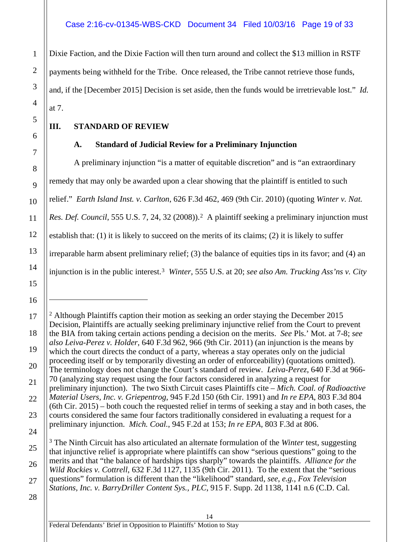#### Case 2:16-cv-01345-WBS-CKD Document 34 Filed 10/03/16 Page 19 of 33

Dixie Faction, and the Dixie Faction will then turn around and collect the \$13 million in RSTF payments being withheld for the Tribe. Once released, the Tribe cannot retrieve those funds, and, if the [December 2015] Decision is set aside, then the funds would be irretrievable lost." *Id.* at 7.

#### <span id="page-18-0"></span>**III. STANDARD OF REVIEW**

#### **A. Standard of Judicial Review for a Preliminary Injunction**

<span id="page-18-1"></span>A preliminary injunction "is a matter of equitable discretion" and is "an extraordinary remedy that may only be awarded upon a clear showing that the plaintiff is entitled to such relief." *Earth Island Inst. v. Carlton*, 626 F.3d 462, 469 (9th Cir. 2010) (quoting *Winter v. Nat. Res. Def. Council*, 555 U.S. 7, 24, 3[2](#page-18-2) (2008)).<sup>2</sup> A plaintiff seeking a preliminary injunction must establish that: (1) it is likely to succeed on the merits of its claims; (2) it is likely to suffer irreparable harm absent preliminary relief; (3) the balance of equities tips in its favor; and (4) an injunction is in the public interest.[3](#page-18-3) *Winter*, 555 U.S. at 20; *see also Am. Trucking Ass'ns v. City* 

14

1

2

3

4

5

6

7

8

9

10

11

12

13

14

15

16

 $\overline{a}$ 

<span id="page-18-2"></span><sup>18</sup> <sup>2</sup> Although Plaintiffs caption their motion as seeking an order staying the December 2015 Decision, Plaintiffs are actually seeking preliminary injunctive relief from the Court to prevent the BIA from taking certain actions pending a decision on the merits. *See* Pls.' Mot. at 7-8; *see also Leiva-Perez v. Holder*, 640 F.3d 962, 966 (9th Cir. 2011) (an injunction is the means by which the court directs the conduct of a party, whereas a stay operates only on the judicial proceeding itself or by temporarily divesting an order of enforceability) (quotations omitted). The terminology does not change the Court's standard of review. *Leiva-Perez*, 640 F.3d at 966- 70 (analyzing stay request using the four factors considered in analyzing a request for preliminary injunction). The two Sixth Circuit cases Plaintiffs cite – *Mich. Coal. of Radioactive Material Users, Inc. v. Griepentrog*, 945 F.2d 150 (6th Cir. 1991) and *In re EPA*, 803 F.3d 804 (6th Cir. 2015) – both couch the requested relief in terms of seeking a stay and in both cases, the courts considered the same four factors traditionally considered in evaluating a request for a preliminary injunction. *Mich. Coal.*, 945 F.2d at 153; *In re EPA*, 803 F.3d at 806.

<span id="page-18-3"></span><sup>3</sup> The Ninth Circuit has also articulated an alternate formulation of the *Winter* test, suggesting that injunctive relief is appropriate where plaintiffs can show "serious questions" going to the merits and that "the balance of hardships tips sharply" towards the plaintiffs. *Alliance for the Wild Rockies v. Cottrell*, 632 F.3d 1127, 1135 (9th Cir. 2011). To the extent that the "serious questions" formulation is different than the "likelihood" standard, *see*, *e.g.*, *Fox Television Stations, Inc. v. BarryDriller Content Sys., PLC*, 915 F. Supp. 2d 1138, 1141 n.6 (C.D. Cal.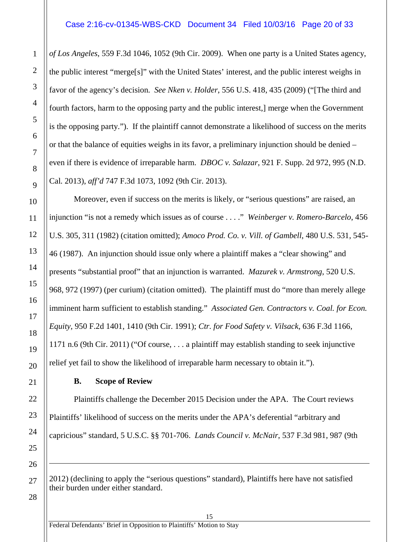#### Case 2:16-cv-01345-WBS-CKD Document 34 Filed 10/03/16 Page 20 of 33

*of Los Angeles*, 559 F.3d 1046, 1052 (9th Cir. 2009). When one party is a United States agency, the public interest "merge[s]" with the United States' interest, and the public interest weighs in favor of the agency's decision. *See Nken v. Holder*, 556 U.S. 418, 435 (2009) ("[The third and fourth factors, harm to the opposing party and the public interest,] merge when the Government is the opposing party."). If the plaintiff cannot demonstrate a likelihood of success on the merits or that the balance of equities weighs in its favor, a preliminary injunction should be denied – even if there is evidence of irreparable harm. *DBOC v. Salazar*, 921 F. Supp. 2d 972, 995 (N.D. Cal. 2013), *aff'd* 747 F.3d 1073, 1092 (9th Cir. 2013).

Moreover, even if success on the merits is likely, or "serious questions" are raised, an injunction "is not a remedy which issues as of course . . . ." *Weinberger v. Romero-Barcelo*, 456 U.S. 305, 311 (1982) (citation omitted); *Amoco Prod. Co. v. Vill. of Gambell*, 480 U.S. 531, 545- 46 (1987). An injunction should issue only where a plaintiff makes a "clear showing" and presents "substantial proof" that an injunction is warranted. *Mazurek v. Armstrong*, 520 U.S. 968, 972 (1997) (per curium) (citation omitted). The plaintiff must do "more than merely allege imminent harm sufficient to establish standing." *Associated Gen. Contractors v. Coal. for Econ. Equity*, 950 F.2d 1401, 1410 (9th Cir. 1991); *Ctr. for Food Safety v. Vilsack*, 636 F.3d 1166, 1171 n.6 (9th Cir. 2011) ("Of course, . . . a plaintiff may establish standing to seek injunctive relief yet fail to show the likelihood of irreparable harm necessary to obtain it.").

#### **B. Scope of Review**

<span id="page-19-0"></span>Plaintiffs challenge the December 2015 Decision under the APA. The Court reviews Plaintiffs' likelihood of success on the merits under the APA's deferential "arbitrary and capricious" standard, 5 U.S.C. §§ 701-706. *Lands Council v. McNair*, 537 F.3d 981, 987 (9th

2012) (declining to apply the "serious questions" standard), Plaintiffs here have not satisfied their burden under either standard.

15

28

 $\overline{a}$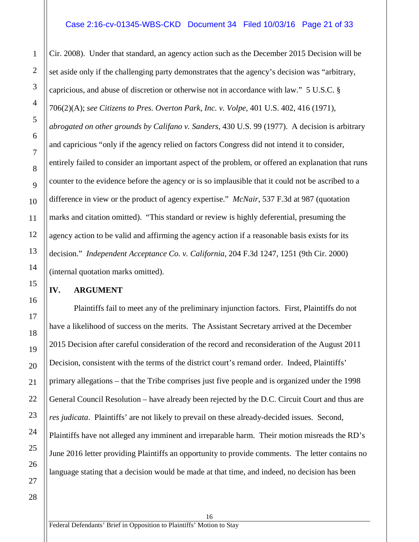#### Case 2:16-cv-01345-WBS-CKD Document 34 Filed 10/03/16 Page 21 of 33

Cir. 2008). Under that standard, an agency action such as the December 2015 Decision will be set aside only if the challenging party demonstrates that the agency's decision was "arbitrary, capricious, and abuse of discretion or otherwise not in accordance with law." 5 U.S.C. § 706(2)(A); *see Citizens to Pres. Overton Park, Inc. v. Volpe*, 401 U.S. 402, 416 (1971), *abrogated on other grounds by Califano v. Sanders*, 430 U.S. 99 (1977). A decision is arbitrary and capricious "only if the agency relied on factors Congress did not intend it to consider, entirely failed to consider an important aspect of the problem, or offered an explanation that runs counter to the evidence before the agency or is so implausible that it could not be ascribed to a difference in view or the product of agency expertise." *McNair*, 537 F.3d at 987 (quotation marks and citation omitted). "This standard or review is highly deferential, presuming the agency action to be valid and affirming the agency action if a reasonable basis exists for its decision." *Independent Acceptance Co. v. California*, 204 F.3d 1247, 1251 (9th Cir. 2000) (internal quotation marks omitted).

#### <span id="page-20-0"></span>**IV. ARGUMENT**

Plaintiffs fail to meet any of the preliminary injunction factors. First, Plaintiffs do not have a likelihood of success on the merits. The Assistant Secretary arrived at the December 2015 Decision after careful consideration of the record and reconsideration of the August 2011 Decision, consistent with the terms of the district court's remand order. Indeed, Plaintiffs' primary allegations – that the Tribe comprises just five people and is organized under the 1998 General Council Resolution – have already been rejected by the D.C. Circuit Court and thus are *res judicata*. Plaintiffs' are not likely to prevail on these already-decided issues. Second, Plaintiffs have not alleged any imminent and irreparable harm. Their motion misreads the RD's June 2016 letter providing Plaintiffs an opportunity to provide comments. The letter contains no language stating that a decision would be made at that time, and indeed, no decision has been

16

1

2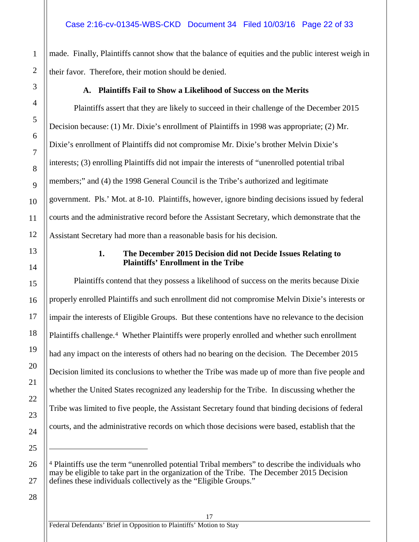made. Finally, Plaintiffs cannot show that the balance of equities and the public interest weigh in their favor. Therefore, their motion should be denied.

#### <span id="page-21-0"></span>**A. Plaintiffs Fail to Show a Likelihood of Success on the Merits**

Plaintiffs assert that they are likely to succeed in their challenge of the December 2015 Decision because: (1) Mr. Dixie's enrollment of Plaintiffs in 1998 was appropriate; (2) Mr. Dixie's enrollment of Plaintiffs did not compromise Mr. Dixie's brother Melvin Dixie's interests; (3) enrolling Plaintiffs did not impair the interests of "unenrolled potential tribal members;" and (4) the 1998 General Council is the Tribe's authorized and legitimate government. Pls.' Mot. at 8-10. Plaintiffs, however, ignore binding decisions issued by federal courts and the administrative record before the Assistant Secretary, which demonstrate that the Assistant Secretary had more than a reasonable basis for his decision.

#### **1. The December 2015 Decision did not Decide Issues Relating to Plaintiffs' Enrollment in the Tribe**

Plaintiffs contend that they possess a likelihood of success on the merits because Dixie properly enrolled Plaintiffs and such enrollment did not compromise Melvin Dixie's interests or impair the interests of Eligible Groups. But these contentions have no relevance to the decision Plaintiffs challenge.<sup>[4](#page-21-2)</sup> Whether Plaintiffs were properly enrolled and whether such enrollment had any impact on the interests of others had no bearing on the decision. The December 2015 Decision limited its conclusions to whether the Tribe was made up of more than five people and whether the United States recognized any leadership for the Tribe. In discussing whether the Tribe was limited to five people, the Assistant Secretary found that binding decisions of federal courts, and the administrative records on which those decisions were based, establish that the

17

1

2

3

4

5

6

7

8

9

10

11

12

<span id="page-21-1"></span>13

14

15

16

17

18

19

20

21

22

23

24

<span id="page-21-2"></span>25

 $\overline{a}$ 

<sup>4</sup> Plaintiffs use the term "unenrolled potential Tribal members" to describe the individuals who may be eligible to take part in the organization of the Tribe. The December 2015 Decision defines these individuals collectively as the "Eligible Groups."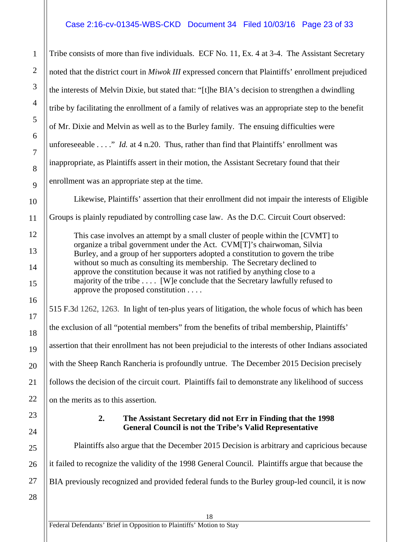#### Case 2:16-cv-01345-WBS-CKD Document 34 Filed 10/03/16 Page 23 of 33

Tribe consists of more than five individuals. ECF No. 11, Ex. 4 at 3-4. The Assistant Secretary noted that the district court in *Miwok III* expressed concern that Plaintiffs' enrollment prejudiced the interests of Melvin Dixie, but stated that: "[t]he BIA's decision to strengthen a dwindling tribe by facilitating the enrollment of a family of relatives was an appropriate step to the benefit of Mr. Dixie and Melvin as well as to the Burley family. The ensuing difficulties were unforeseeable . . . ." *Id.* at 4 n.20. Thus, rather than find that Plaintiffs' enrollment was inappropriate, as Plaintiffs assert in their motion, the Assistant Secretary found that their enrollment was an appropriate step at the time.

Likewise, Plaintiffs' assertion that their enrollment did not impair the interests of Eligible

Groups is plainly repudiated by controlling case law. As the D.C. Circuit Court observed:

This case involves an attempt by a small cluster of people within the [CVMT] to organize a tribal government under the Act. CVM[T]'s chairwoman, Silvia Burley, and a group of her supporters adopted a constitution to govern the tribe without so much as consulting its membership. The Secretary declined to approve the constitution because it was not ratified by anything close to a majority of the tribe . . . . [W]e conclude that the Secretary lawfully refused to approve the proposed constitution . . . .

515 F.3d 1262, 1263. In light of ten-plus years of litigation, the whole focus of which has been the exclusion of all "potential members" from the benefits of tribal membership, Plaintiffs' assertion that their enrollment has not been prejudicial to the interests of other Indians associated with the Sheep Ranch Rancheria is profoundly untrue. The December 2015 Decision precisely follows the decision of the circuit court. Plaintiffs fail to demonstrate any likelihood of success

<span id="page-22-0"></span>on the merits as to this assertion.

#### **2. The Assistant Secretary did not Err in Finding that the 1998 General Council is not the Tribe's Valid Representative**

Plaintiffs also argue that the December 2015 Decision is arbitrary and capricious because it failed to recognize the validity of the 1998 General Council. Plaintiffs argue that because the BIA previously recognized and provided federal funds to the Burley group-led council, it is now

26 27 28

1

2

3

4

5

6

7

8

9

10

11

12

13

14

15

16

17

18

19

20

21

22

23

24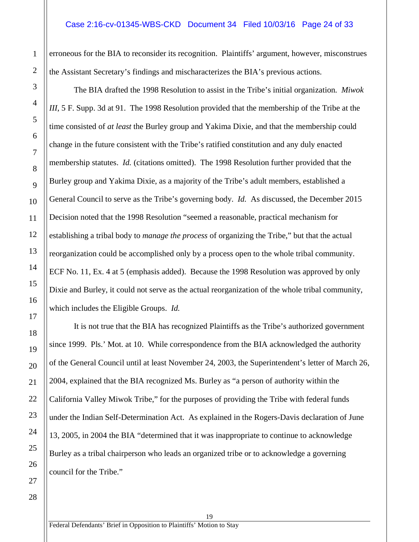#### Case 2:16-cv-01345-WBS-CKD Document 34 Filed 10/03/16 Page 24 of 33

erroneous for the BIA to reconsider its recognition. Plaintiffs' argument, however, misconstrues the Assistant Secretary's findings and mischaracterizes the BIA's previous actions.

The BIA drafted the 1998 Resolution to assist in the Tribe's initial organization. *Miwok III*, 5 F. Supp. 3d at 91. The 1998 Resolution provided that the membership of the Tribe at the time consisted of *at least* the Burley group and Yakima Dixie, and that the membership could change in the future consistent with the Tribe's ratified constitution and any duly enacted membership statutes. *Id.* (citations omitted). The 1998 Resolution further provided that the Burley group and Yakima Dixie, as a majority of the Tribe's adult members, established a General Council to serve as the Tribe's governing body. *Id.* As discussed, the December 2015 Decision noted that the 1998 Resolution "seemed a reasonable, practical mechanism for establishing a tribal body to *manage the process* of organizing the Tribe," but that the actual reorganization could be accomplished only by a process open to the whole tribal community. ECF No. 11, Ex. 4 at 5 (emphasis added). Because the 1998 Resolution was approved by only Dixie and Burley, it could not serve as the actual reorganization of the whole tribal community, which includes the Eligible Groups. *Id.*

It is not true that the BIA has recognized Plaintiffs as the Tribe's authorized government since 1999. Pls.' Mot. at 10. While correspondence from the BIA acknowledged the authority of the General Council until at least November 24, 2003, the Superintendent's letter of March 26, 2004, explained that the BIA recognized Ms. Burley as "a person of authority within the California Valley Miwok Tribe," for the purposes of providing the Tribe with federal funds under the Indian Self-Determination Act. As explained in the Rogers-Davis declaration of June 13, 2005, in 2004 the BIA "determined that it was inappropriate to continue to acknowledge Burley as a tribal chairperson who leads an organized tribe or to acknowledge a governing council for the Tribe."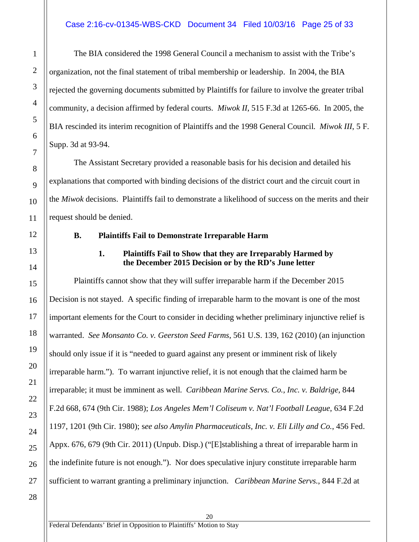#### Case 2:16-cv-01345-WBS-CKD Document 34 Filed 10/03/16 Page 25 of 33

The BIA considered the 1998 General Council a mechanism to assist with the Tribe's organization, not the final statement of tribal membership or leadership. In 2004, the BIA rejected the governing documents submitted by Plaintiffs for failure to involve the greater tribal community, a decision affirmed by federal courts. *Miwok II*, 515 F.3d at 1265-66. In 2005, the BIA rescinded its interim recognition of Plaintiffs and the 1998 General Council. *Miwok III*, 5 F. Supp. 3d at 93-94.

The Assistant Secretary provided a reasonable basis for his decision and detailed his explanations that comported with binding decisions of the district court and the circuit court in the *Miwok* decisions. Plaintiffs fail to demonstrate a likelihood of success on the merits and their request should be denied.

#### <span id="page-24-0"></span>**B. Plaintiffs Fail to Demonstrate Irreparable Harm**

#### **1. Plaintiffs Fail to Show that they are Irreparably Harmed by the December 2015 Decision or by the RD's June letter**

<span id="page-24-1"></span>Plaintiffs cannot show that they will suffer irreparable harm if the December 2015 Decision is not stayed. A specific finding of irreparable harm to the movant is one of the most important elements for the Court to consider in deciding whether preliminary injunctive relief is warranted. *See Monsanto Co. v. Geerston Seed Farms*, 561 U.S. 139, 162 (2010) (an injunction should only issue if it is "needed to guard against any present or imminent risk of likely irreparable harm."). To warrant injunctive relief, it is not enough that the claimed harm be irreparable; it must be imminent as well. *Caribbean Marine Servs. Co., Inc. v. Baldrige*, 844 F.2d 668, 674 (9th Cir. 1988); *Los Angeles Mem'l Coliseum v. Nat'l Football League*, 634 F.2d 1197, 1201 (9th Cir. 1980); s*ee also Amylin Pharmaceuticals, Inc. v. Eli Lilly and Co.*, 456 Fed. Appx. 676, 679 (9th Cir. 2011) (Unpub. Disp.) ("[E]stablishing a threat of irreparable harm in the indefinite future is not enough."). Nor does speculative injury constitute irreparable harm sufficient to warrant granting a preliminary injunction. *Caribbean Marine Servs.*, 844 F.2d at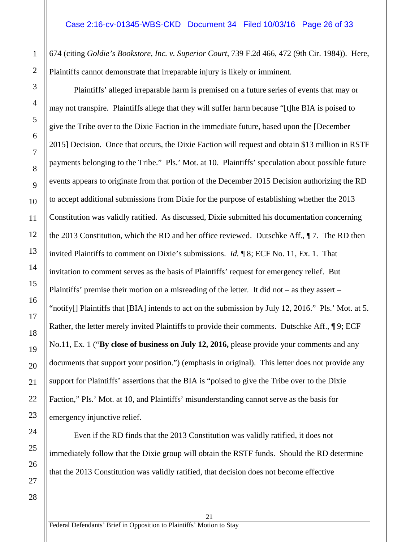674 (citing *Goldie's Bookstore, Inc. v. Superior Court*, 739 F.2d 466, 472 (9th Cir. 1984)). Here, Plaintiffs cannot demonstrate that irreparable injury is likely or imminent.

Plaintiffs' alleged irreparable harm is premised on a future series of events that may or may not transpire. Plaintiffs allege that they will suffer harm because "[t]he BIA is poised to give the Tribe over to the Dixie Faction in the immediate future, based upon the [December 2015] Decision. Once that occurs, the Dixie Faction will request and obtain \$13 million in RSTF payments belonging to the Tribe." Pls.' Mot. at 10. Plaintiffs' speculation about possible future events appears to originate from that portion of the December 2015 Decision authorizing the RD to accept additional submissions from Dixie for the purpose of establishing whether the 2013 Constitution was validly ratified. As discussed, Dixie submitted his documentation concerning the 2013 Constitution, which the RD and her office reviewed. Dutschke Aff., ¶ 7. The RD then invited Plaintiffs to comment on Dixie's submissions. *Id.* ¶ 8; ECF No. 11, Ex. 1. That invitation to comment serves as the basis of Plaintiffs' request for emergency relief. But Plaintiffs' premise their motion on a misreading of the letter. It did not – as they assert – "notify[] Plaintiffs that [BIA] intends to act on the submission by July 12, 2016." Pls.' Mot. at 5. Rather, the letter merely invited Plaintiffs to provide their comments. Dutschke Aff., 19; ECF No.11, Ex. 1 ("**By close of business on July 12, 2016,** please provide your comments and any documents that support your position.") (emphasis in original). This letter does not provide any support for Plaintiffs' assertions that the BIA is "poised to give the Tribe over to the Dixie Faction," Pls.' Mot. at 10, and Plaintiffs' misunderstanding cannot serve as the basis for emergency injunctive relief.

Even if the RD finds that the 2013 Constitution was validly ratified, it does not immediately follow that the Dixie group will obtain the RSTF funds. Should the RD determine that the 2013 Constitution was validly ratified, that decision does not become effective

21

1

2

3

4

5

6

7

8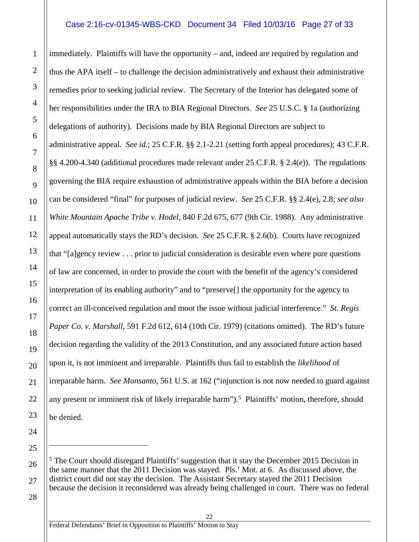#### Case 2:16-cv-01345-WBS-CKD Document 34 Filed 10/03/16 Page 27 of 33

immediately. Plaintiffs will have the opportunity – and, indeed are required by regulation and thus the APA itself – to challenge the decision administratively and exhaust their administrative remedies prior to seeking judicial review. The Secretary of the Interior has delegated some of her responsibilities under the IRA to BIA Regional Directors. *See* 25 U.S.C. § 1a (authorizing delegations of authority). Decisions made by BIA Regional Directors are subject to administrative appeal. *See id.*; 25 C.F.R. §§ 2.1-2.21 (setting forth appeal procedures); 43 C.F.R. §§ 4.200-4.340 (additional procedures made relevant under 25 C.F.R. § 2.4(e)). The regulations governing the BIA require exhaustion of administrative appeals within the BIA before a decision can be considered "final" for purposes of judicial review. *See* 25 C.F.R. §§ 2.4(e), 2.8; *see also White Mountain Apache Tribe v. Hodel*, 840 F.2d 675, 677 (9th Cir. 1988). Any administrative appeal automatically stays the RD's decision. *See* 25 C.F.R. § 2.6(b). Courts have recognized that "[a]gency review . . . prior to judicial consideration is desirable even where pure questions of law are concerned, in order to provide the court with the benefit of the agency's considered interpretation of its enabling authority" and to "preserve[] the opportunity for the agency to correct an ill-conceived regulation and moot the issue without judicial interference." *St. Regis Paper Co. v. Marshall*, 591 F.2d 612, 614 (10th Cir. 1979) (citations omitted). The RD's future decision regarding the validity of the 2013 Constitution, and any associated future action based upon it, is not imminent and irreparable. Plaintiffs thus fail to establish the *likelihood* of irreparable harm. *See Monsanto*, 561 U.S. at 162 ("injunction is not now needed to guard against any present or imminent risk of likely irreparable harm").<sup>5</sup> Plaintiffs' motion, therefore, should be denied.

<span id="page-26-0"></span> $<sup>5</sup>$  The Court should disregard Plaintiffs' suggestion that it stay the December 2015 Decision in</sup> the same manner that the 2011 Decision was stayed. Pls.' Mot. at 6. As discussed above, the district court did not stay the decision. The Assistant Secretary stayed the 2011 Decision because the decision it reconsidered was already being challenged in court. There was no federal

22

 $\overline{a}$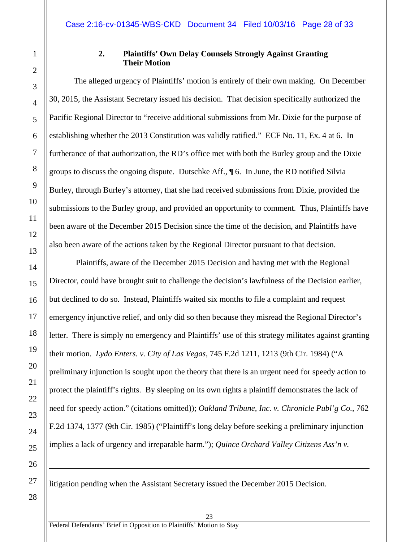15

16

17

18

19

20

21

22

23

24

25

26

 $\overline{a}$ 

#### **2. Plaintiffs' Own Delay Counsels Strongly Against Granting Their Motion**

<span id="page-27-0"></span>The alleged urgency of Plaintiffs' motion is entirely of their own making. On December 30, 2015, the Assistant Secretary issued his decision. That decision specifically authorized the Pacific Regional Director to "receive additional submissions from Mr. Dixie for the purpose of establishing whether the 2013 Constitution was validly ratified." ECF No. 11, Ex. 4 at 6. In furtherance of that authorization, the RD's office met with both the Burley group and the Dixie groups to discuss the ongoing dispute. Dutschke Aff., ¶ 6. In June, the RD notified Silvia Burley, through Burley's attorney, that she had received submissions from Dixie, provided the submissions to the Burley group, and provided an opportunity to comment. Thus, Plaintiffs have been aware of the December 2015 Decision since the time of the decision, and Plaintiffs have also been aware of the actions taken by the Regional Director pursuant to that decision.

Plaintiffs, aware of the December 2015 Decision and having met with the Regional Director, could have brought suit to challenge the decision's lawfulness of the Decision earlier, but declined to do so. Instead, Plaintiffs waited six months to file a complaint and request emergency injunctive relief, and only did so then because they misread the Regional Director's letter. There is simply no emergency and Plaintiffs' use of this strategy militates against granting their motion. *Lydo Enters. v. City of Las Vegas*, 745 F.2d 1211, 1213 (9th Cir. 1984) ("A preliminary injunction is sought upon the theory that there is an urgent need for speedy action to protect the plaintiff's rights. By sleeping on its own rights a plaintiff demonstrates the lack of need for speedy action." (citations omitted)); *Oakland Tribune, Inc. v. Chronicle Publ'g Co.*, 762 F.2d 1374, 1377 (9th Cir. 1985) ("Plaintiff's long delay before seeking a preliminary injunction implies a lack of urgency and irreparable harm."); *Quince Orchard Valley Citizens Ass'n v.* 

litigation pending when the Assistant Secretary issued the December 2015 Decision.

23

28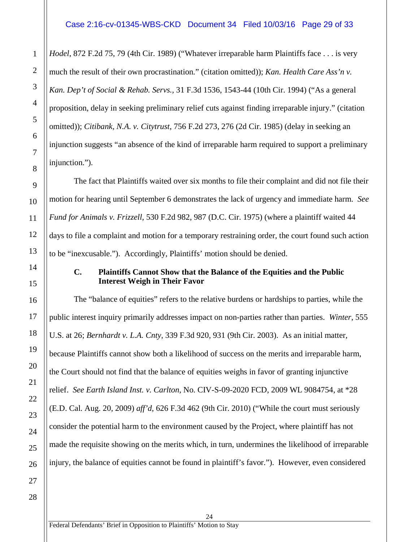*Hodel*, 872 F.2d 75, 79 (4th Cir. 1989) ("Whatever irreparable harm Plaintiffs face . . . is very much the result of their own procrastination." (citation omitted)); *Kan. Health Care Ass'n v. Kan. Dep't of Social & Rehab. Servs.*, 31 F.3d 1536, 1543-44 (10th Cir. 1994) ("As a general proposition, delay in seeking preliminary relief cuts against finding irreparable injury." (citation omitted)); *Citibank, N.A. v. Citytrust*, 756 F.2d 273, 276 (2d Cir. 1985) (delay in seeking an injunction suggests "an absence of the kind of irreparable harm required to support a preliminary injunction.").

The fact that Plaintiffs waited over six months to file their complaint and did not file their motion for hearing until September 6 demonstrates the lack of urgency and immediate harm. *See Fund for Animals v. Frizzell*, 530 F.2d 982, 987 (D.C. Cir. 1975) (where a plaintiff waited 44 days to file a complaint and motion for a temporary restraining order, the court found such action to be "inexcusable."). Accordingly, Plaintiffs' motion should be denied.

#### <span id="page-28-0"></span>**C. Plaintiffs Cannot Show that the Balance of the Equities and the Public Interest Weigh in Their Favor**

The "balance of equities" refers to the relative burdens or hardships to parties, while the public interest inquiry primarily addresses impact on non-parties rather than parties. *Winter*, 555 U.S. at 26; *Bernhardt v. L.A. Cnty*, 339 F.3d 920, 931 (9th Cir. 2003). As an initial matter, because Plaintiffs cannot show both a likelihood of success on the merits and irreparable harm, the Court should not find that the balance of equities weighs in favor of granting injunctive relief. *See Earth Island Inst. v. Carlton*, No. CIV-S-09-2020 FCD, 2009 WL 9084754, at \*28 (E.D. Cal. Aug. 20, 2009) *aff'd*, 626 F.3d 462 (9th Cir. 2010) ("While the court must seriously consider the potential harm to the environment caused by the Project, where plaintiff has not made the requisite showing on the merits which, in turn, undermines the likelihood of irreparable injury, the balance of equities cannot be found in plaintiff's favor."). However, even considered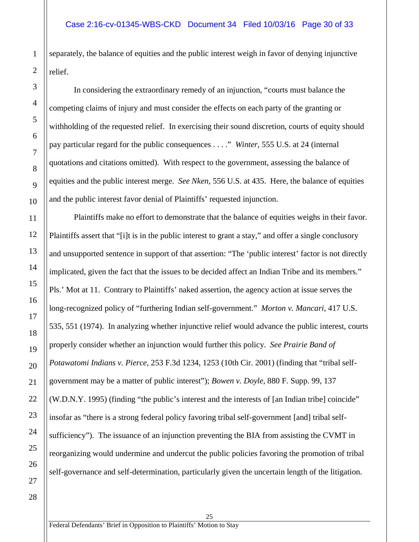separately, the balance of equities and the public interest weigh in favor of denying injunctive relief.

In considering the extraordinary remedy of an injunction, "courts must balance the competing claims of injury and must consider the effects on each party of the granting or withholding of the requested relief. In exercising their sound discretion, courts of equity should pay particular regard for the public consequences . . . ." *Winter*, 555 U.S. at 24 (internal quotations and citations omitted). With respect to the government, assessing the balance of equities and the public interest merge. *See Nken,* 556 U.S. at 435. Here, the balance of equities and the public interest favor denial of Plaintiffs' requested injunction.

Plaintiffs make no effort to demonstrate that the balance of equities weighs in their favor. Plaintiffs assert that "[i]t is in the public interest to grant a stay," and offer a single conclusory and unsupported sentence in support of that assertion: "The 'public interest' factor is not directly implicated, given the fact that the issues to be decided affect an Indian Tribe and its members." Pls.' Mot at 11. Contrary to Plaintiffs' naked assertion, the agency action at issue serves the long-recognized policy of "furthering Indian self-government." *Morton v. Mancari*, 417 U.S. 535, 551 (1974). In analyzing whether injunctive relief would advance the public interest, courts properly consider whether an injunction would further this policy. *See Prairie Band of Potawatomi Indians v. Pierce*, 253 F.3d 1234, 1253 (10th Cir. 2001) (finding that "tribal selfgovernment may be a matter of public interest"); *Bowen v. Doyle*, 880 F. Supp. 99, 137 (W.D.N.Y. 1995) (finding "the public's interest and the interests of [an Indian tribe] coincide" insofar as "there is a strong federal policy favoring tribal self-government [and] tribal selfsufficiency"). The issuance of an injunction preventing the BIA from assisting the CVMT in reorganizing would undermine and undercut the public policies favoring the promotion of tribal self-governance and self-determination, particularly given the uncertain length of the litigation.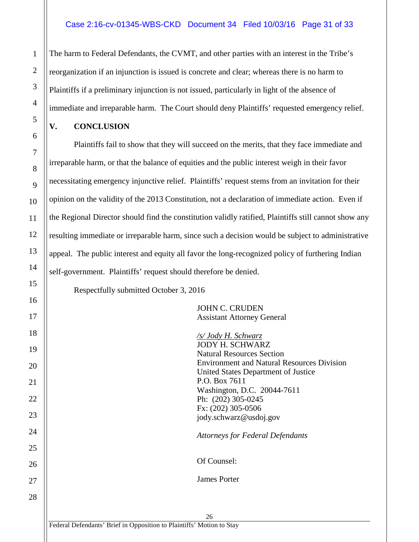#### Case 2:16-cv-01345-WBS-CKD Document 34 Filed 10/03/16 Page 31 of 33

The harm to Federal Defendants, the CVMT, and other parties with an interest in the Tribe's reorganization if an injunction is issued is concrete and clear; whereas there is no harm to Plaintiffs if a preliminary injunction is not issued, particularly in light of the absence of immediate and irreparable harm. The Court should deny Plaintiffs' requested emergency relief.

#### <span id="page-30-0"></span>**V. CONCLUSION**

Plaintiffs fail to show that they will succeed on the merits, that they face immediate and irreparable harm, or that the balance of equities and the public interest weigh in their favor necessitating emergency injunctive relief. Plaintiffs' request stems from an invitation for their opinion on the validity of the 2013 Constitution, not a declaration of immediate action. Even if the Regional Director should find the constitution validly ratified, Plaintiffs still cannot show any resulting immediate or irreparable harm, since such a decision would be subject to administrative appeal. The public interest and equity all favor the long-recognized policy of furthering Indian self-government. Plaintiffs' request should therefore be denied.

Respectfully submitted October 3, 2016

JOHN C. CRUDEN Assistant Attorney General

*/s/ Jody H. Schwarz* JODY H. SCHWARZ Natural Resources Section Environment and Natural Resources Division United States Department of Justice P.O. Box 7611 Washington, D.C. 20044-7611 Ph: (202) 305-0245 Fx: (202) 305-0506 jody.schwarz@usdoj.gov

*Attorneys for Federal Defendants*

Of Counsel:

James Porter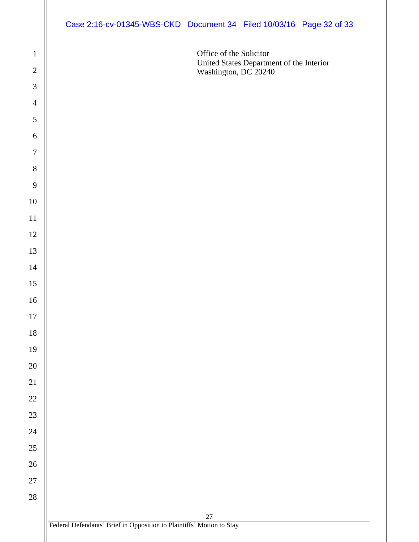| Case 2:16-cv-01345-WBS-CKD Document 34 Filed 10/03/16 Page 32 of 33 |  |  |
|---------------------------------------------------------------------|--|--|
|                                                                     |  |  |

Office of the Solicitor United States Department of the Interior Washington, DC 20240